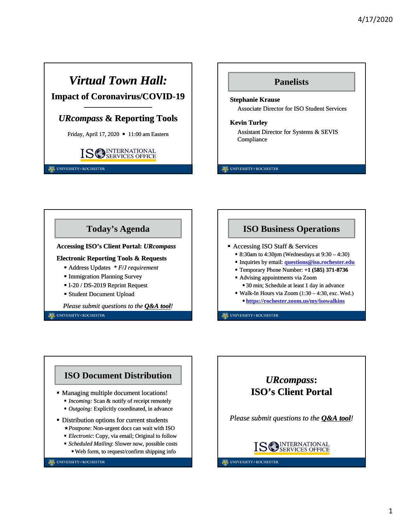# *Virtual Town Hall:* **Impact of Coronavirus/COVID-19**

## **––––––––––––––––––––––** *URcompass* **& Reporting Tools**

Friday, April 17, 2020 • 11:00 am Eastern



UNIVERSITY#ROCHESTER

## **Panelists Stephanie Krause** Associate Director for ISO Student Services

#### **Kevin Turley**

Assistant Director for Systems & SEVIS Compliance

UNIVERSITY#ROCHESTER



*Please submit questions to the Q&A tool!*

UNIVERSITY#ROCHESTER

## **ISO Business Operations**

- Accessing ISO Staff & Services
	- 8:30am to 4:30pm (Wednesdays at  $9:30 4:30$ )
	- Inquiries by email: **questions@iso.rochester.edu**
	- Temporary Phone Number: **+1 (585) 371-8736**
	- Advising appointments via Zoom 30 min; Schedule at least 1 day in advance
	- Walk-In Hours via Zoom  $(1:30 4:30, \text{exc. Wed.})$ 
		- **https://rochester.zoom.us/my/isowalkins**

UNIVERSITY#ROCHESTER

## **ISO Document Distribution**

- Managing multiple document locations!
	- *Incoming:* Scan & notify of receipt remotely
	- *Outgoing:* Explicitly coordinated, in advance
- Distribution options for current students
	- *Postpone*: Non-urgent docs can wait with ISO
	- *Electronic*: Copy, via email; Original to follow
	- *Scheduled Mailing*: Slower now, possible costs Web form, to request/confirm shipping info

#### UNIVERSITY#ROCHESTER



*Please submit questions to the Q&A tool!*



#### UNIVERSITY#ROCHESTER

1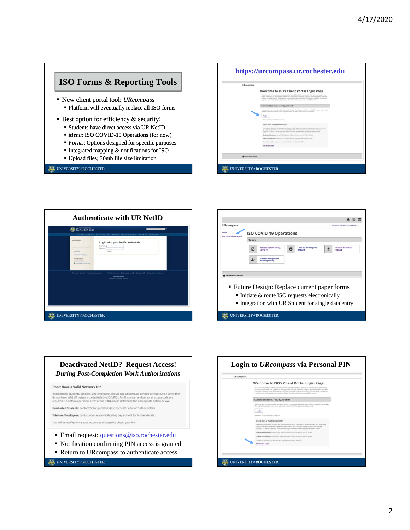## **ISO Forms & Reporting Tools**

- New client portal tool: *URcompass* Platform will eventually replace all ISO forms
- Best option for efficiency & security!
	- Students have direct access via UR NetID
	- *Menu*: ISO COVID-19 Operations (for now)
	- *Forms*: Options designed for specific purposes
	- Integrated mapping & notifications for ISO
	- Upload files; 30mb file size limitation

#### UNIVERSITY#ROCHESTER









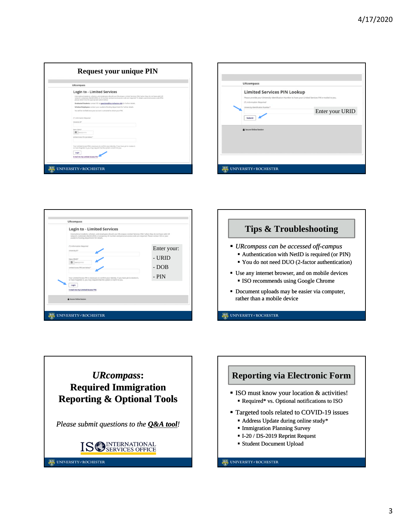| <b>URcompass</b>                                                                                      |                                                                                                                                                                                                                                                                                                             |
|-------------------------------------------------------------------------------------------------------|-------------------------------------------------------------------------------------------------------------------------------------------------------------------------------------------------------------------------------------------------------------------------------------------------------------|
|                                                                                                       | <b>Login to - Limited Services</b>                                                                                                                                                                                                                                                                          |
|                                                                                                       | International students, scholars, and employees should use URcompass Limited Services ONLY when they do not have valid UR<br>network credentials (NetID/URID). An ID number and personal access code are required. To obtain a personal access code (PIN)<br>please determine the appropriate option below. |
|                                                                                                       | Graduated Students: contact ISO at questions@iso.rochester.edu for further details.                                                                                                                                                                                                                         |
|                                                                                                       | Schalars/Employees: contact your academic/hosting department for further details.                                                                                                                                                                                                                           |
|                                                                                                       | You will be notified once your account is activated to obtain your PIN.                                                                                                                                                                                                                                     |
| (*) Information Required<br>University (D <sup>+</sup>                                                |                                                                                                                                                                                                                                                                                                             |
| Date of Birth <sup>x</sup><br>$\overline{a}$<br><b>Junetonmy</b><br>Limited Access PIN care belized * |                                                                                                                                                                                                                                                                                                             |
|                                                                                                       | Your Limited Access PIN is necessary to confirm your identity. If you have yet to receive it.<br>or have forgotten it, you may request that the system a-mail it to you.                                                                                                                                    |
| Login                                                                                                 | <b>E-mail me my Limited Access PIN</b>                                                                                                                                                                                                                                                                      |

| <b>URcompass</b><br><b>Limited Services PIN Lookup</b><br>(*) Information Required | Please provide your University Identification Number to have your Limited Services PIN e-mailed to you. |
|------------------------------------------------------------------------------------|---------------------------------------------------------------------------------------------------------|
| University Identification Number*<br>Submit                                        | Enter your URID                                                                                         |
| <b>A</b> Secure Online Session                                                     |                                                                                                         |
|                                                                                    |                                                                                                         |
|                                                                                    |                                                                                                         |

| <b>URcompass</b>                                                                                                                                                                                                                                                                                                                         |             |
|------------------------------------------------------------------------------------------------------------------------------------------------------------------------------------------------------------------------------------------------------------------------------------------------------------------------------------------|-------------|
| <b>Login to - Limited Services</b><br>International students, scholars, and employees should use URcompass Limited Services ONLY when they do not have valid UR<br>network credentials (NetID/URID). A temporary ID number and personal access code are required. Please contact ISO or your<br>academic/hosting department for details. |             |
| (*) Information Required<br>University ID*                                                                                                                                                                                                                                                                                               | Enter your: |
| Date of Beth <sup>x</sup>                                                                                                                                                                                                                                                                                                                | - URID      |
| <b>B</b> IMARGOVWY<br>Limited Access PIN (see below) *                                                                                                                                                                                                                                                                                   | - DOB       |
| Your Limited Access PIN is necessary to confirm your identity. If you have yet to receive it,<br>or have forgotten it, you may request that the system e-mail it to you.                                                                                                                                                                 | - PIN       |
| Login                                                                                                                                                                                                                                                                                                                                    |             |
| <b>E-mail me my Limited Access PIN</b>                                                                                                                                                                                                                                                                                                   |             |
| Secure Online Session                                                                                                                                                                                                                                                                                                                    |             |





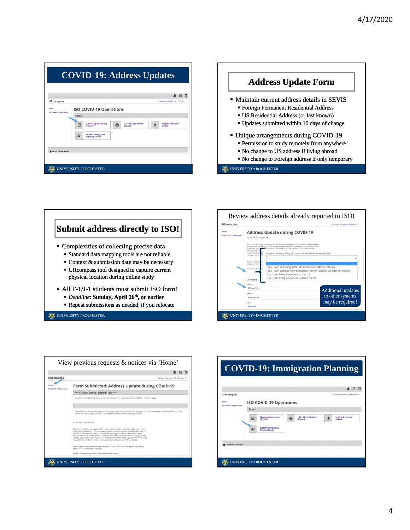|                                 |                                                |                                                      |   |                                          |  | ☑                                 |
|---------------------------------|------------------------------------------------|------------------------------------------------------|---|------------------------------------------|--|-----------------------------------|
| <b>URcompass</b>                |                                                |                                                      |   |                                          |  | Sunapsis Sunapsis Test Record *   |
| Home<br>ISO COVID-19 Operations | <b>ISO COVID-19 Operations</b><br><b>Tasks</b> |                                                      |   |                                          |  |                                   |
|                                 | ☑                                              | <b>Address Update during</b><br><b>COVID-19</b>      | e | <b>I-20 / DS-2019 Reprint</b><br>Request |  | <b>Student Document</b><br>Upload |
|                                 |                                                | <b>Student Immigration</b><br><b>Planning Survey</b> |   |                                          |  |                                   |
| <b>A</b> Secure Online Session  |                                                |                                                      |   |                                          |  |                                   |







| <b>URcompass</b>        | Sunapsis Sunapsis Test Record                                                                                                                                                                                                                                                                                                                                                                                                                                                                                                                                    |  |  |
|-------------------------|------------------------------------------------------------------------------------------------------------------------------------------------------------------------------------------------------------------------------------------------------------------------------------------------------------------------------------------------------------------------------------------------------------------------------------------------------------------------------------------------------------------------------------------------------------------|--|--|
| ISO COVID-19 Operations | Form Submitted: Address Update during COVID-19                                                                                                                                                                                                                                                                                                                                                                                                                                                                                                                   |  |  |
|                         | *** FORM STATUS: SUBMITTED ***                                                                                                                                                                                                                                                                                                                                                                                                                                                                                                                                   |  |  |
|                         | Your Form is Submitted. If you would like to resubmit, click "Cancel" and "Submit" the Form again.                                                                                                                                                                                                                                                                                                                                                                                                                                                               |  |  |
|                         | The International Services Office (ISO) provides services to international students, scholars, employees, and other visitors to the<br>University of Rochester, as well as the departments that host and support them.                                                                                                                                                                                                                                                                                                                                           |  |  |
|                         | (*) Information Required<br>This form will allow international F / J students to report a change in address to reflect<br>their current residence. Given temporary permissions to pursue studies online due to<br>COVID-19, many international students are no longer located at the same address<br>reported earlier in the semester. This form should be submitted within 10 days of any<br>change, and as often as necessary, to ensure compliance with US government reporting<br>requirements. ISO will review your information and update SEVIS as needed. |  |  |
|                         | Please review the address details already on record with ISO and use the form fields<br>below to make necessary updates.                                                                                                                                                                                                                                                                                                                                                                                                                                         |  |  |
|                         | Are you currently living at one of the addresses listed below!!!                                                                                                                                                                                                                                                                                                                                                                                                                                                                                                 |  |  |

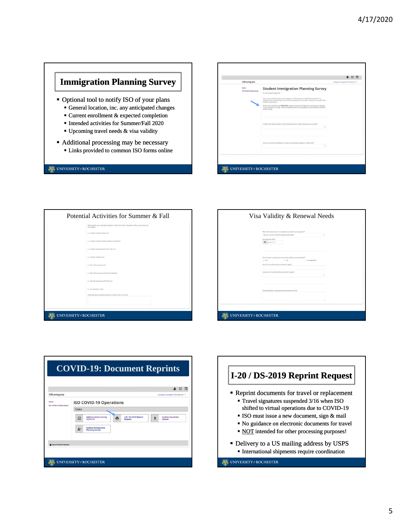## **Immigration Planning Survey**

- Optional tool to notify ISO of your plans
	- General location, inc. any anticipated changes
	- Current enrollment & expected completion Intended activities for Summer/Fall 2020
	- Upcoming travel needs & visa validity
	-
- Additional processing may be necessary Links provided to common ISO forms online

#### UNIVERSITY#ROCHESTER

|                                          |                                                                                                                                                                                                                                                                                                                                                                                                                                                                                               | ☑                               | $\overline{a}$ |
|------------------------------------------|-----------------------------------------------------------------------------------------------------------------------------------------------------------------------------------------------------------------------------------------------------------------------------------------------------------------------------------------------------------------------------------------------------------------------------------------------------------------------------------------------|---------------------------------|----------------|
| <b>URcompass</b>                         |                                                                                                                                                                                                                                                                                                                                                                                                                                                                                               | Survaynis Survageis Test Record |                |
| <b>Harris</b><br>ISO COVID-19 Operations | <b>Student Immigration Planning Survey</b><br>(*) Information Required<br>This survey will help assess what support or information enrolled international F / j -<br>students may need during current remote operations and online classes as a result of the<br>COVID-19 pandemic.<br>Please note that this tool DOES NOT replace required immigration reporting for changes.<br>in your program of study. Links to additional forms and guidance are provided at the end<br>of this survey. |                                 |                |
|                                          | in light of UR's determination to shift classes/instruction orders, where are you currently?"<br>×                                                                                                                                                                                                                                                                                                                                                                                            |                                 |                |
|                                          | Did you move from the address or focation you had been living prior to March 9th?"<br>٠                                                                                                                                                                                                                                                                                                                                                                                                       |                                 |                |

| Potential Activities for Summer & Fall                                                                    | Visa Validity & Renewal Needs                                                                                                  |
|-----------------------------------------------------------------------------------------------------------|--------------------------------------------------------------------------------------------------------------------------------|
| What will be your intended activities in the US for the remainder of this year? (check all<br>that apply) |                                                                                                                                |
| 13 Summer: Continue study at UR                                                                           | What is the status of your F or ) student siza sticker in your passport?"<br>My visa remains valid through (specify date)<br>٠ |
| (2) Summer: Continue study at another US institution                                                      | Visa Expiration Date <sup>+</sup><br><b>B</b> Instrumer                                                                        |
| 13 Summer: Work permission (CPT, CPT, etc.)                                                               |                                                                                                                                |
| (2) Supremer, Vacation Serre                                                                              | Do you plan to renew your vita sticker while you are abroad?"<br>$a$ . Tas.<br>0.36<br>13 Not Applicable                       |
| () Fall: Continue study at UR                                                                             | Oty of US Consulate where you intend to apply. <sup>4</sup>                                                                    |
| 13 Eall: Continue study at another US institution                                                         | Country of US Consulate where you intend to apply. <sup>4</sup>                                                                |
| 11 Fall Work permission CPT, OPT, etc.)                                                                   |                                                                                                                                |
| 13 Not applicable / Other                                                                                 | CommentalNotes, or other pertinent information for ISO.                                                                        |
| Briefly describe any additional plant for Summer and/or Fall 2020.                                        |                                                                                                                                |
|                                                                                                           |                                                                                                                                |

| What is the status of your F or ) student siza stoker in your passport?"<br>My visa remains valid through (specify date)<br>٠<br>Visa Expiration Date <sup>4</sup><br><b>D</b> Insistemm |
|------------------------------------------------------------------------------------------------------------------------------------------------------------------------------------------|
| Do you plan to renew your vita sticker while you are abroad?"<br>$+$ Tax<br>0.34x<br>D Not Applicable                                                                                    |
| Oty of US Consulate where you intend to apply. <sup>4</sup><br>Country of US Consulate where you intend to apply. <sup>4</sup>                                                           |
| CommentalNotes, or other pertinent information for ISO.                                                                                                                                  |

|                                 |              |                                                      |   |                                          | ☞                                 |
|---------------------------------|--------------|------------------------------------------------------|---|------------------------------------------|-----------------------------------|
| <b>URcompass</b>                |              |                                                      |   |                                          | Sunapsis Sunapsis Test Record *   |
| Home<br>ISO COVID-19 Operations |              | <b>ISO COVID-19 Operations</b>                       |   |                                          |                                   |
|                                 | <b>Tasks</b> |                                                      |   |                                          |                                   |
|                                 | ☑            | <b>Address Update during</b><br>COVID-19             | e | <b>I-20 / DS-2019 Reprint</b><br>Request | <b>Student Document</b><br>Upload |
|                                 |              | <b>Student Immigration</b><br><b>Planning Survey</b> |   |                                          |                                   |

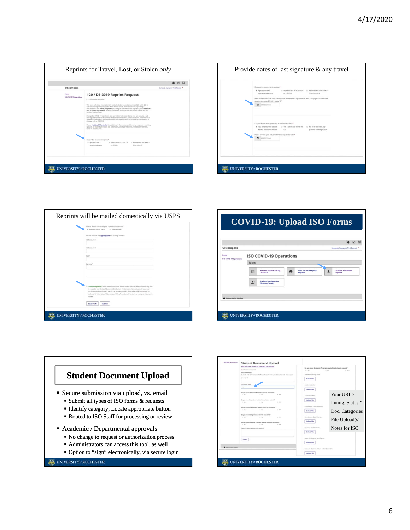



| Where should ISO send your reprinted document?*<br>* Domestically bria USPS)<br>0. Internationally                                                                                                                                                                                                                                                                                                                            |  |
|-------------------------------------------------------------------------------------------------------------------------------------------------------------------------------------------------------------------------------------------------------------------------------------------------------------------------------------------------------------------------------------------------------------------------------|--|
| Please provide the appropriate US mailing address:                                                                                                                                                                                                                                                                                                                                                                            |  |
| Address Line 1*                                                                                                                                                                                                                                                                                                                                                                                                               |  |
| Address Line 2                                                                                                                                                                                                                                                                                                                                                                                                                |  |
| State <sup>4</sup>                                                                                                                                                                                                                                                                                                                                                                                                            |  |
| Zip Code*                                                                                                                                                                                                                                                                                                                                                                                                                     |  |
|                                                                                                                                                                                                                                                                                                                                                                                                                               |  |
| Il Acknowledgement: Due to remote operators, please understand that additional processing time<br>is needed to coordinate all document distribution. For domestic shipments, we will know your<br>document reprint and send it via USPS as soon as possible. Please allow 4-5 business days for<br>delivery. For international shipments, an ISO staff member will contact you once your document is<br>intrand. <sup>4</sup> |  |
| <b>Save Draft</b><br>Submit                                                                                                                                                                                                                                                                                                                                                                                                   |  |